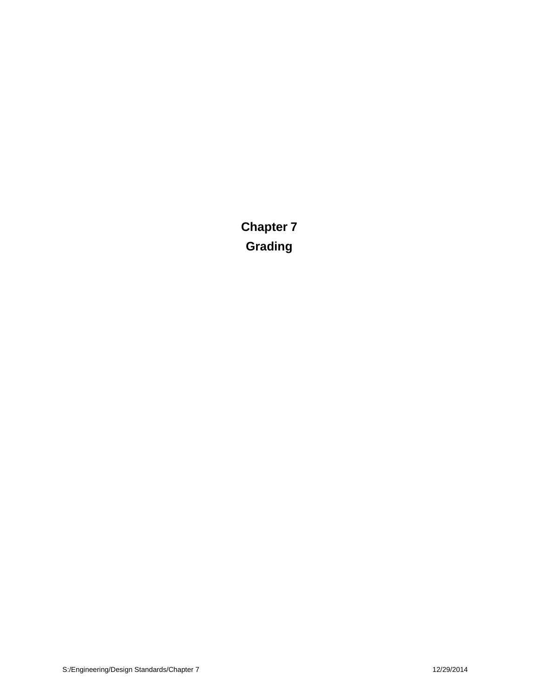**Chapter 7 Grading**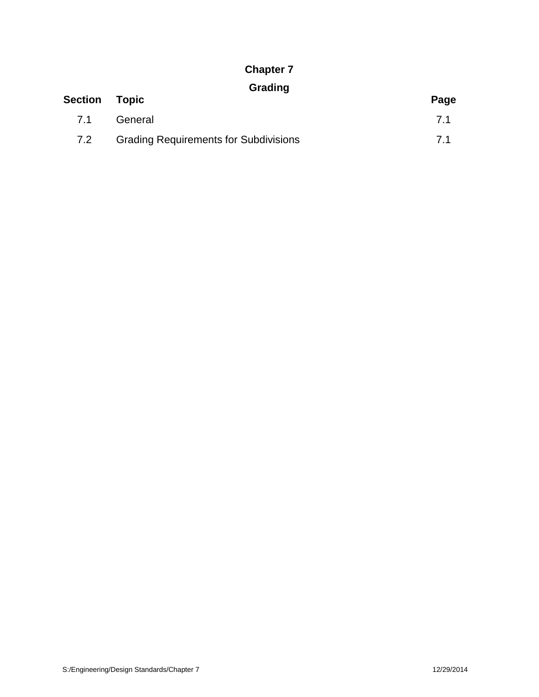### **Chapter 7**

# **Grading**

| <b>Section Topic</b> |                                              | Page |
|----------------------|----------------------------------------------|------|
| 7.1                  | General                                      | 71   |
| 7.2                  | <b>Grading Requirements for Subdivisions</b> | 71   |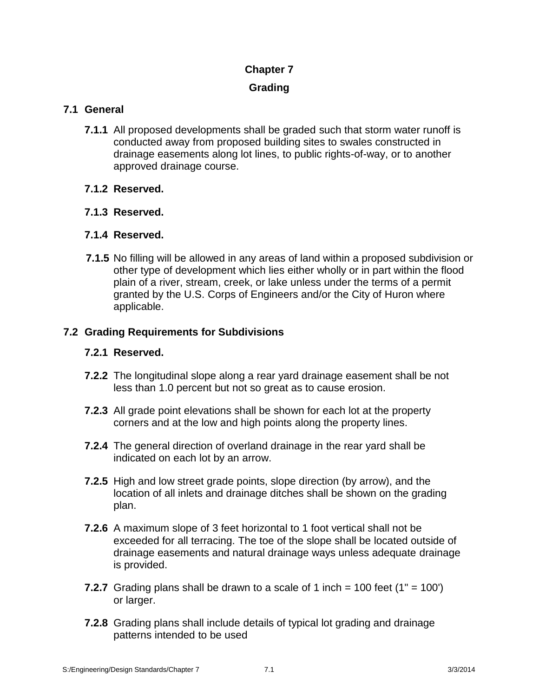# **Chapter 7**

### **Grading**

### **7.1 General**

- **7.1.1** All proposed developments shall be graded such that storm water runoff is conducted away from proposed building sites to swales constructed in drainage easements along lot lines, to public rights-of-way, or to another approved drainage course.
- **7.1.2 Reserved.**
- **7.1.3 Reserved.**
- **7.1.4 Reserved.**
- **7.1.5** No filling will be allowed in any areas of land within a proposed subdivision or other type of development which lies either wholly or in part within the flood plain of a river, stream, creek, or lake unless under the terms of a permit granted by the U.S. Corps of Engineers and/or the City of Huron where applicable.

#### **7.2 Grading Requirements for Subdivisions**

#### **7.2.1 Reserved.**

- **7.2.2** The longitudinal slope along a rear yard drainage easement shall be not less than 1.0 percent but not so great as to cause erosion.
- **7.2.3** All grade point elevations shall be shown for each lot at the property corners and at the low and high points along the property lines.
- **7.2.4** The general direction of overland drainage in the rear yard shall be indicated on each lot by an arrow.
- **7.2.5** High and low street grade points, slope direction (by arrow), and the location of all inlets and drainage ditches shall be shown on the grading plan.
- **7.2.6** A maximum slope of 3 feet horizontal to 1 foot vertical shall not be exceeded for all terracing. The toe of the slope shall be located outside of drainage easements and natural drainage ways unless adequate drainage is provided.
- **7.2.7** Grading plans shall be drawn to a scale of 1 inch = 100 feet (1" = 100') or larger.
- **7.2.8** Grading plans shall include details of typical lot grading and drainage patterns intended to be used